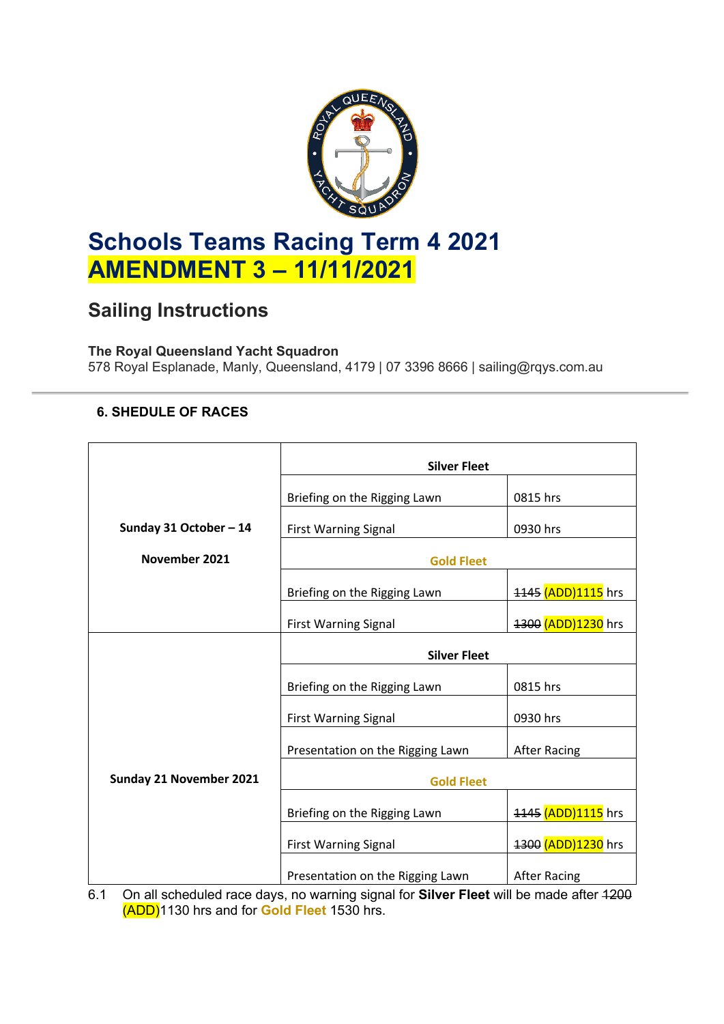

# **Schools Teams Racing Term 4 2021 AMENDMENT 3 – 11/11/2021**

## **Sailing Instructions**

#### **The Royal Queensland Yacht Squadron**

578 Royal Esplanade, Manly, Queensland, 4179 | 07 3396 8666 | sailing@rqys.com.au

### **6. SHEDULE OF RACES**

|                         | <b>Silver Fleet</b>              |                     |
|-------------------------|----------------------------------|---------------------|
|                         | Briefing on the Rigging Lawn     | 0815 hrs            |
| Sunday 31 October - 14  | <b>First Warning Signal</b>      | 0930 hrs            |
| November 2021           | <b>Gold Fleet</b>                |                     |
|                         | Briefing on the Rigging Lawn     | 1145 (ADD)1115 hrs  |
|                         | <b>First Warning Signal</b>      | 1300 (ADD)1230 hrs  |
|                         | <b>Silver Fleet</b>              |                     |
|                         | Briefing on the Rigging Lawn     | 0815 hrs            |
|                         | <b>First Warning Signal</b>      | 0930 hrs            |
|                         | Presentation on the Rigging Lawn | <b>After Racing</b> |
| Sunday 21 November 2021 | <b>Gold Fleet</b>                |                     |
|                         | Briefing on the Rigging Lawn     | 1145 (ADD)1115 hrs  |
|                         | <b>First Warning Signal</b>      | 1300 (ADD)1230 hrs  |
|                         | Presentation on the Rigging Lawn | <b>After Racing</b> |

6.1 On all scheduled race days, no warning signal for **Silver Fleet** will be made after 1200 (ADD)1130 hrs and for **Gold Fleet** 1530 hrs.